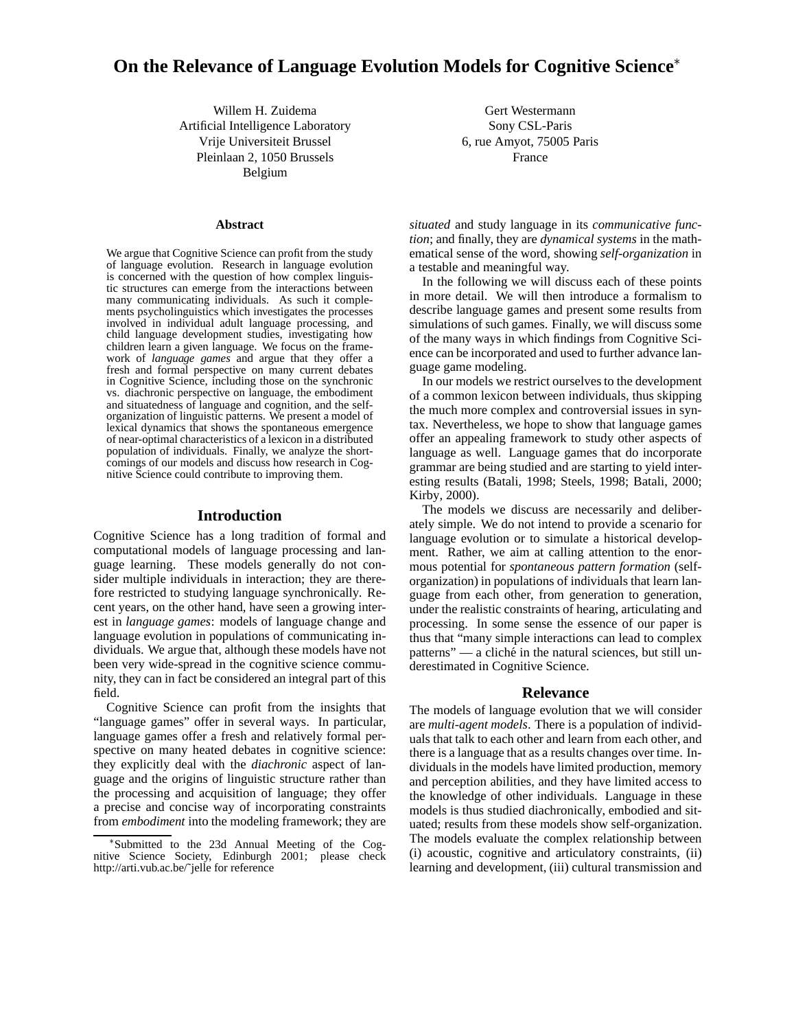# **On the Relevance of Language Evolution Models for Cognitive Science**

Willem H. Zuidema Artificial Intelligence Laboratory Vrije Universiteit Brussel Pleinlaan 2, 1050 Brussels Belgium

#### **Abstract**

We argue that Cognitive Science can profit from the study of language evolution. Research in language evolution is concerned with the question of how complex linguistic structures can emerge from the interactions between many communicating individuals. As such it complements psycholinguistics which investigates the processes involved in individual adult language processing, and child language development studies, investigating how children learn a given language. We focus on the framework of *language games* and argue that they offer a fresh and formal perspective on many current debates in Cognitive Science, including those on the synchronic vs. diachronic perspective on language, the embodiment and situatedness of language and cognition, and the selforganization of linguistic patterns. We present a model of lexical dynamics that shows the spontaneous emergence of near-optimal characteristics of a lexicon in a distributed population of individuals. Finally, we analyze the shortcomings of our models and discuss how research in Cognitive Science could contribute to improving them.

#### **Introduction**

Cognitive Science has a long tradition of formal and computational models of language processing and language learning. These models generally do not consider multiple individuals in interaction; they are therefore restricted to studying language synchronically. Recent years, on the other hand, have seen a growing interest in *language games*: models of language change and language evolution in populations of communicating individuals. We argue that, although these models have not been very wide-spread in the cognitive science community, they can in fact be considered an integral part of this field.

Cognitive Science can profit from the insights that "language games" offer in several ways. In particular, language games offer a fresh and relatively formal perspective on many heated debates in cognitive science: they explicitly deal with the *diachronic* aspect of language and the origins of linguistic structure rather than the processing and acquisition of language; they offer a precise and concise way of incorporating constraints from *embodiment* into the modeling framework; they are

Gert Westermann Sony CSL-Paris 6, rue Amyot, 75005 Paris France

*situated* and study language in its *communicative function*; and finally, they are *dynamical systems* in the mathematical sense of the word, showing *self-organization* in a testable and meaningful way.

In the following we will discuss each of these points in more detail. We will then introduce a formalism to describe language games and present some results from simulations of such games. Finally, we will discuss some of the many ways in which findings from Cognitive Science can be incorporated and used to further advance language game modeling.

In our models we restrict ourselves to the development of a common lexicon between individuals, thus skipping the much more complex and controversial issues in syntax. Nevertheless, we hope to show that language games offer an appealing framework to study other aspects of language as well. Language games that do incorporate grammar are being studied and are starting to yield interesting results (Batali, 1998; Steels, 1998; Batali, 2000; Kirby, 2000).

The models we discuss are necessarily and deliberately simple. We do not intend to provide a scenario for language evolution or to simulate a historical development. Rather, we aim at calling attention to the enormous potential for *spontaneous pattern formation* (selforganization) in populations of individuals that learn language from each other, from generation to generation, under the realistic constraints of hearing, articulating and processing. In some sense the essence of our paper is thus that "many simple interactions can lead to complex patterns" — a cliché in the natural sciences, but still underestimated in Cognitive Science.

### **Relevance**

The models of language evolution that we will consider are *multi-agent models*. There is a population of individuals that talk to each other and learn from each other, and there is a language that as a results changes over time. Individuals in the models have limited production, memory and perception abilities, and they have limited access to the knowledge of other individuals. Language in these models is thus studied diachronically, embodied and situated; results from these models show self-organization. The models evaluate the complex relationship between (i) acoustic, cognitive and articulatory constraints, (ii) learning and development, (iii) cultural transmission and

Submitted to the 23d Annual Meeting of the Cognitive Science Society, Edinburgh 2001; please check http://arti.vub.ac.be/˜jelle for reference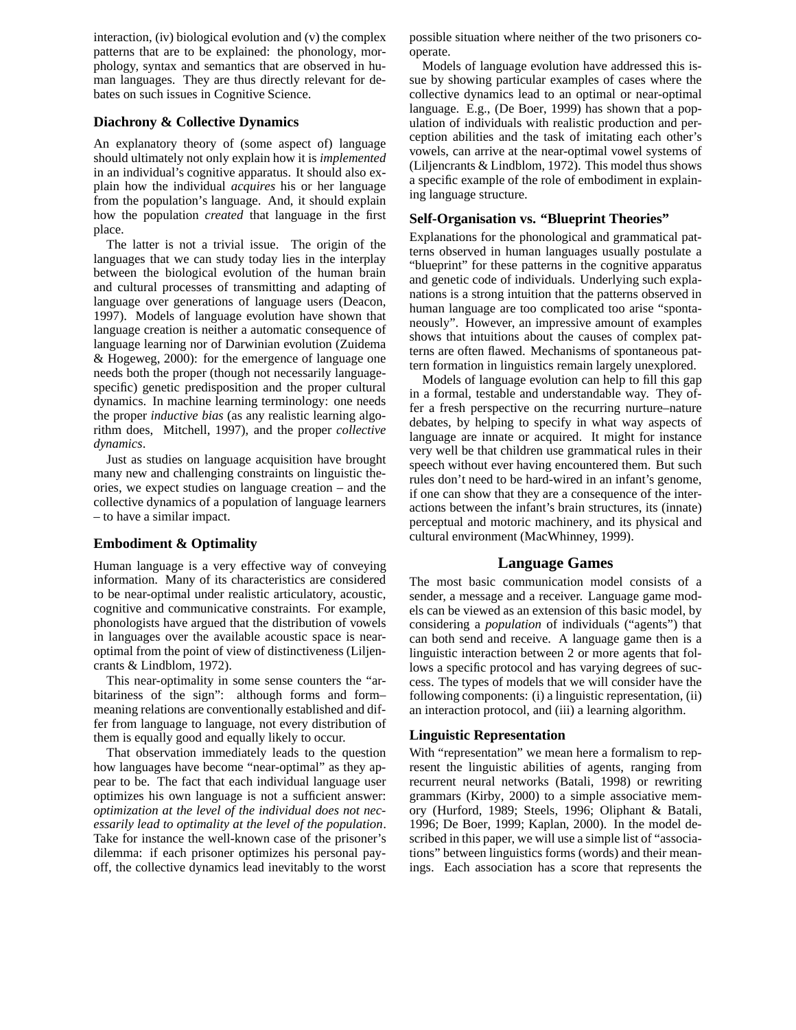interaction, (iv) biological evolution and (v) the complex patterns that are to be explained: the phonology, morphology, syntax and semantics that are observed in human languages. They are thus directly relevant for debates on such issues in Cognitive Science.

# **Diachrony & Collective Dynamics**

An explanatory theory of (some aspect of) language should ultimately not only explain how it is *implemented* in an individual's cognitive apparatus. It should also explain how the individual *acquires* his or her language from the population's language. And, it should explain how the population *created* that language in the first place.

The latter is not a trivial issue. The origin of the languages that we can study today lies in the interplay between the biological evolution of the human brain and cultural processes of transmitting and adapting of language over generations of language users (Deacon, 1997). Models of language evolution have shown that language creation is neither a automatic consequence of language learning nor of Darwinian evolution (Zuidema & Hogeweg, 2000): for the emergence of language one needs both the proper (though not necessarily languagespecific) genetic predisposition and the proper cultural dynamics. In machine learning terminology: one needs the proper *inductive bias* (as any realistic learning algorithm does, Mitchell, 1997), and the proper *collective dynamics*.

Just as studies on language acquisition have brought many new and challenging constraints on linguistic theories, we expect studies on language creation – and the collective dynamics of a population of language learners – to have a similar impact.

# **Embodiment & Optimality**

Human language is a very effective way of conveying information. Many of its characteristics are considered to be near-optimal under realistic articulatory, acoustic, cognitive and communicative constraints. For example, phonologists have argued that the distribution of vowels in languages over the available acoustic space is nearoptimal from the point of view of distinctiveness (Liljencrants & Lindblom, 1972).

This near-optimality in some sense counters the "arbitariness of the sign": although forms and form– meaning relations are conventionally established and differ from language to language, not every distribution of them is equally good and equally likely to occur.

That observation immediately leads to the question how languages have become "near-optimal" as they appear to be. The fact that each individual language user optimizes his own language is not a sufficient answer: *optimization at the level of the individual does not necessarily lead to optimality at the level of the population*. Take for instance the well-known case of the prisoner's dilemma: if each prisoner optimizes his personal payoff, the collective dynamics lead inevitably to the worst

possible situation where neither of the two prisoners cooperate.

Models of language evolution have addressed this issue by showing particular examples of cases where the collective dynamics lead to an optimal or near-optimal language. E.g., (De Boer, 1999) has shown that a population of individuals with realistic production and perception abilities and the task of imitating each other's vowels, can arrive at the near-optimal vowel systems of (Liljencrants & Lindblom, 1972). This model thus shows a specific example of the role of embodiment in explaining language structure.

# **Self-Organisation vs. "Blueprint Theories"**

Explanations for the phonological and grammatical patterns observed in human languages usually postulate a "blueprint" for these patterns in the cognitive apparatus and genetic code of individuals. Underlying such explanations is a strong intuition that the patterns observed in human language are too complicated too arise "spontaneously". However, an impressive amount of examples shows that intuitions about the causes of complex patterns are often flawed. Mechanisms of spontaneous pattern formation in linguistics remain largely unexplored.

Models of language evolution can help to fill this gap in a formal, testable and understandable way. They offer a fresh perspective on the recurring nurture–nature debates, by helping to specify in what way aspects of language are innate or acquired. It might for instance very well be that children use grammatical rules in their speech without ever having encountered them. But such rules don't need to be hard-wired in an infant's genome, if one can show that they are a consequence of the interactions between the infant's brain structures, its (innate) perceptual and motoric machinery, and its physical and cultural environment (MacWhinney, 1999).

# **Language Games**

The most basic communication model consists of a sender, a message and a receiver. Language game models can be viewed as an extension of this basic model, by considering a *population* of individuals ("agents") that can both send and receive. A language game then is a linguistic interaction between 2 or more agents that follows a specific protocol and has varying degrees of success. The types of models that we will consider have the following components: (i) a linguistic representation, (ii) an interaction protocol, and (iii) a learning algorithm.

# **Linguistic Representation**

With "representation" we mean here a formalism to represent the linguistic abilities of agents, ranging from recurrent neural networks (Batali, 1998) or rewriting grammars (Kirby, 2000) to a simple associative memory (Hurford, 1989; Steels, 1996; Oliphant & Batali, 1996; De Boer, 1999; Kaplan, 2000). In the model described in this paper, we will use a simple list of "associations" between linguistics forms (words) and their meanings. Each association has a score that represents the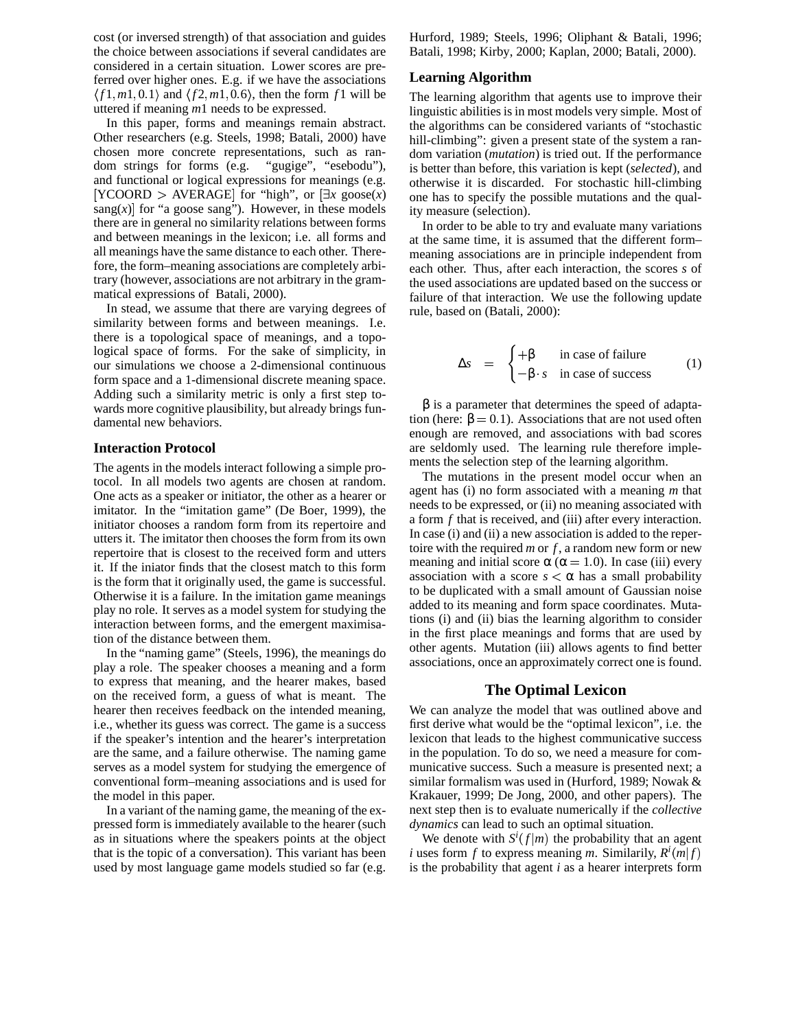cost (or inversed strength) of that association and guides the choice between associations if several candidates are considered in a certain situation. Lower scores are preferred over higher ones. E.g. if we have the associations  $\langle f1,m1,0.1 \rangle$  and  $\langle f2,m1,0.6 \rangle$ , then the form  $f1$  will be uttered if meaning *m*1 needs to be expressed.

In this paper, forms and meanings remain abstract. Other researchers (e.g. Steels, 1998; Batali, 2000) have chosen more concrete representations, such as random strings for forms (e.g. "gugige", "esebodu"), and functional or logical expressions for meanings (e.g.  $[YCOORD > AVERAGE]$  for "high", or  $[\exists x \text{ goes}(x)]$ sang $(x)$  for "a goose sang"). However, in these models there are in general no similarity relations between forms and between meanings in the lexicon; i.e. all forms and all meanings have the same distance to each other. Therefore, the form–meaning associations are completely arbitrary (however, associations are not arbitrary in the grammatical expressions of Batali, 2000).

In stead, we assume that there are varying degrees of similarity between forms and between meanings. I.e. there is a topological space of meanings, and a topological space of forms. For the sake of simplicity, in our simulations we choose a 2-dimensional continuous form space and a 1-dimensional discrete meaning space. Adding such a similarity metric is only a first step towards more cognitive plausibility, but already brings fundamental new behaviors.

#### **Interaction Protocol**

The agents in the models interact following a simple protocol. In all models two agents are chosen at random. One acts as a speaker or initiator, the other as a hearer or imitator. In the "imitation game" (De Boer, 1999), the initiator chooses a random form from its repertoire and utters it. The imitator then chooses the form from its own repertoire that is closest to the received form and utters it. If the iniator finds that the closest match to this form is the form that it originally used, the game is successful. Otherwise it is a failure. In the imitation game meanings play no role. It serves as a model system for studying the interaction between forms, and the emergent maximisation of the distance between them.

In the "naming game" (Steels, 1996), the meanings do play a role. The speaker chooses a meaning and a form to express that meaning, and the hearer makes, based on the received form, a guess of what is meant. The hearer then receives feedback on the intended meaning, i.e., whether its guess was correct. The game is a success if the speaker's intention and the hearer's interpretation are the same, and a failure otherwise. The naming game serves as a model system for studying the emergence of conventional form–meaning associations and is used for the model in this paper.

In a variant of the naming game, the meaning of the expressed form is immediately available to the hearer (such as in situations where the speakers points at the object that is the topic of a conversation). This variant has been used by most language game models studied so far (e.g. Hurford, 1989; Steels, 1996; Oliphant & Batali, 1996; Batali, 1998; Kirby, 2000; Kaplan, 2000; Batali, 2000).

# **Learning Algorithm**

The learning algorithm that agents use to improve their linguistic abilities is in most models very simple. Most of the algorithms can be considered variants of "stochastic hill-climbing": given a present state of the system a random variation (*mutation*) is tried out. If the performance is better than before, this variation is kept (*selected*), and otherwise it is discarded. For stochastic hill-climbing one has to specify the possible mutations and the quality measure (selection).

In order to be able to try and evaluate many variations at the same time, it is assumed that the different form– meaning associations are in principle independent from each other. Thus, after each interaction, the scores *s* of the used associations are updated based on the success or failure of that interaction. We use the following update rule, based on (Batali, 2000):

 

$$
\Delta s = \begin{cases}\n+\beta & \text{in case of failure} \\
-\beta \cdot s & \text{in case of success}\n\end{cases}
$$
\n(1)

 $β$  is a parameter that determines the speed of adaptation (here:  $\beta = 0.1$ ). Associations that are not used often enough are removed, and associations with bad scores are seldomly used. The learning rule therefore implements the selection step of the learning algorithm.

The mutations in the present model occur when an agent has (i) no form associated with a meaning *m* that needs to be expressed, or (ii) no meaning associated with a form *f* that is received, and (iii) after every interaction. In case (i) and (ii) a new association is added to the repertoire with the required *m* or *f* , a random new form or new meaning and initial score  $\alpha$  ( $\alpha$  = 1.0). In case (iii) every association with a score  $s < \alpha$  has a small probability to be duplicated with a small amount of Gaussian noise added to its meaning and form space coordinates. Mutations (i) and (ii) bias the learning algorithm to consider in the first place meanings and forms that are used by other agents. Mutation (iii) allows agents to find better associations, once an approximately correct one is found.

#### **The Optimal Lexicon**

We can analyze the model that was outlined above and first derive what would be the "optimal lexicon", i.e. the lexicon that leads to the highest communicative success in the population. To do so, we need a measure for communicative success. Such a measure is presented next; a similar formalism was used in (Hurford, 1989; Nowak & Krakauer, 1999; De Jong, 2000, and other papers). The next step then is to evaluate numerically if the *collective dynamics* can lead to such an optimal situation.

We denote with  $S^{i}(f|m)$  the probability that an agent *i* uses form *f* to express meaning *m*. Similarily,  $R^{i}(m|f)$ is the probability that agent *i* as a hearer interprets form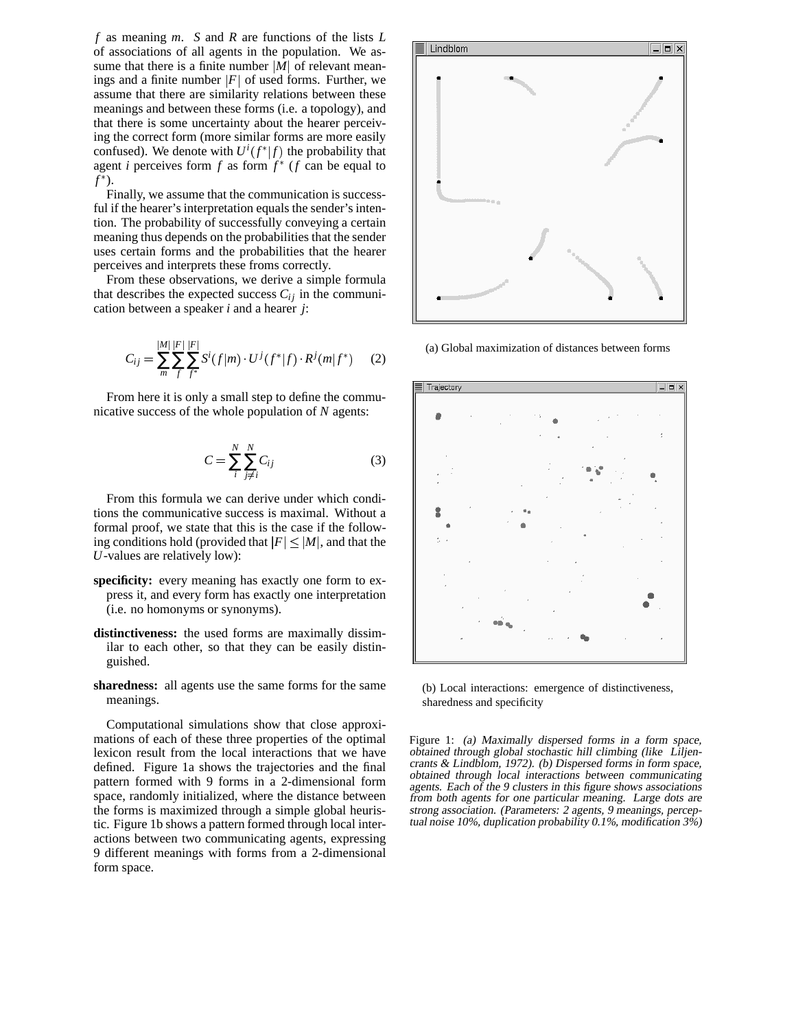*f* as meaning *m*. *S* and *R* are functions of the lists *L* of associations of all agents in the population. We assume that there is a finite number  $|M|$  of relevant meanings and a finite number  $|F|$  of used forms. Further, we assume that there are similarity relations between these meanings and between these forms (i.e. a topology), and that there is some uncertainty about the hearer perceiving the correct form (more similar forms are more easily confused). We denote with  $U^{i}(f^{*}|f)$  the probability that agent *i* perceives form  $f$  as form  $f^*$  ( $f$  can be equal to *f* ).

Finally, we assume that the communication is successful if the hearer's interpretation equals the sender's intention. The probability of successfully conveying a certain meaning thus depends on the probabilities that the sender uses certain forms and the probabilities that the hearer perceives and interprets these froms correctly.

From these observations, we derive a simple formula that describes the expected success  $C_{ij}$  in the communication between a speaker *i* and a hearer *j*:

$$
C_{ij} = \sum_{m}^{|M|} \sum_{f}^{|F|} \sum_{f^*}^{|F|} S^i(f|m) \cdot U^j(f^*|f) \cdot R^j(m|f^*) \qquad (2)
$$

From here it is only a small step to define the communicative success of the whole population of *N* agents:

$$
C = \sum_{i}^{N} \sum_{j \neq i}^{N} C_{ij}
$$
 (3)

From this formula we can derive under which conditions the communicative success is maximal. Without a formal proof, we state that this is the case if the following conditions hold (provided that  $|F| \leq |M|$ , and that the *U*-values are relatively low):

- **specificity:** every meaning has exactly one form to express it, and every form has exactly one interpretation (i.e. no homonyms or synonyms).
- **distinctiveness:** the used forms are maximally dissimilar to each other, so that they can be easily distinguished.
- **sharedness:** all agents use the same forms for the same meanings.

Computational simulations show that close approximations of each of these three properties of the optimal lexicon result from the local interactions that we have defined. Figure 1a shows the trajectories and the final pattern formed with 9 forms in a 2-dimensional form space, randomly initialized, where the distance between the forms is maximized through a simple global heuristic. Figure 1b shows a pattern formed through local interactions between two communicating agents, expressing 9 different meanings with forms from a 2-dimensional form space.



(a) Global maximization of distances between forms



(b) Local interactions: emergence of distinctiveness, sharedness and specificity

Figure 1: (a) Maximally dispersed forms in <sup>a</sup> form space, obtained through global stochastic hill climbing (like Liljencrants & Lindblom, 1972). (b) Dispersed forms in form space, obtained through local interactions between communicating agents. Each of the 9 clusters in this figure shows associations from both agents for one particular meaning. Large dots are strong association. (Parameters: 2 agents, 9 meanings, perceptual noise 10%, duplication probability  $0.1\%$ , modification  $3\%$ )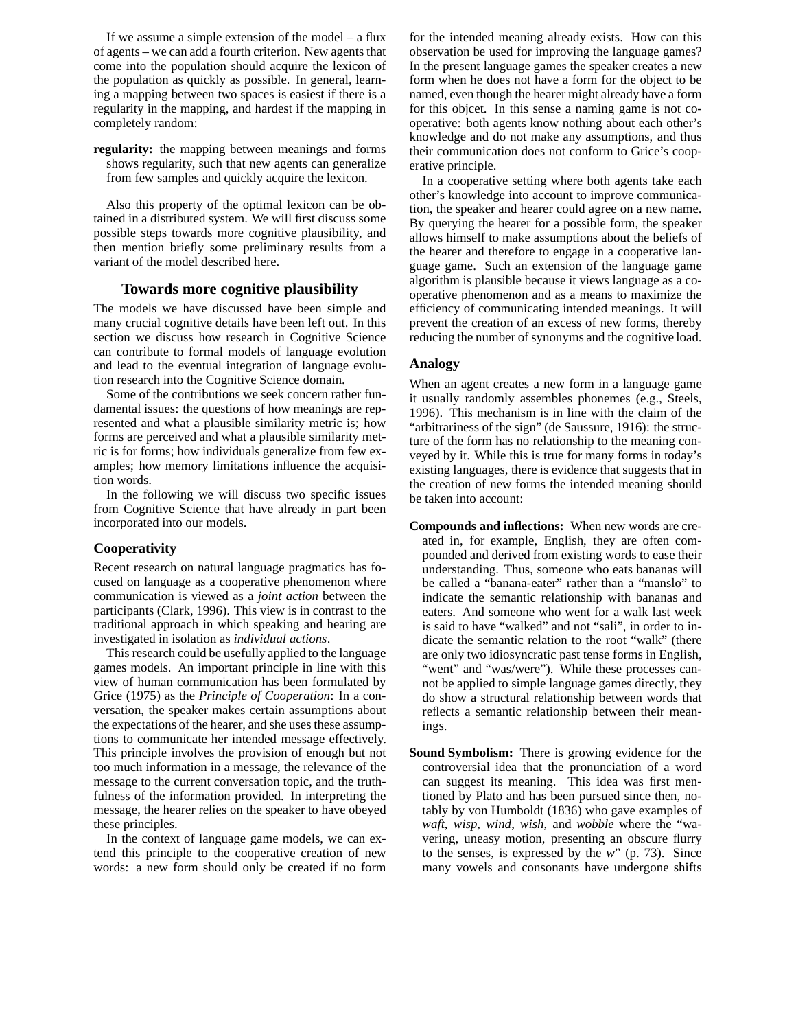If we assume a simple extension of the model  $-$  a flux of agents – we can add a fourth criterion. New agents that come into the population should acquire the lexicon of the population as quickly as possible. In general, learning a mapping between two spaces is easiest if there is a regularity in the mapping, and hardest if the mapping in completely random:

**regularity:** the mapping between meanings and forms shows regularity, such that new agents can generalize from few samples and quickly acquire the lexicon.

Also this property of the optimal lexicon can be obtained in a distributed system. We will first discuss some possible steps towards more cognitive plausibility, and then mention briefly some preliminary results from a variant of the model described here.

# **Towards more cognitive plausibility**

The models we have discussed have been simple and many crucial cognitive details have been left out. In this section we discuss how research in Cognitive Science can contribute to formal models of language evolution and lead to the eventual integration of language evolution research into the Cognitive Science domain.

Some of the contributions we seek concern rather fundamental issues: the questions of how meanings are represented and what a plausible similarity metric is; how forms are perceived and what a plausible similarity metric is for forms; how individuals generalize from few examples; how memory limitations influence the acquisition words.

In the following we will discuss two specific issues from Cognitive Science that have already in part been incorporated into our models.

#### **Cooperativity**

Recent research on natural language pragmatics has focused on language as a cooperative phenomenon where communication is viewed as a *joint action* between the participants (Clark, 1996). This view is in contrast to the traditional approach in which speaking and hearing are investigated in isolation as *individual actions*.

This research could be usefully applied to the language games models. An important principle in line with this view of human communication has been formulated by Grice (1975) as the *Principle of Cooperation*: In a conversation, the speaker makes certain assumptions about the expectations of the hearer, and she uses these assumptions to communicate her intended message effectively. This principle involves the provision of enough but not too much information in a message, the relevance of the message to the current conversation topic, and the truthfulness of the information provided. In interpreting the message, the hearer relies on the speaker to have obeyed these principles.

In the context of language game models, we can extend this principle to the cooperative creation of new words: a new form should only be created if no form for the intended meaning already exists. How can this observation be used for improving the language games? In the present language games the speaker creates a new form when he does not have a form for the object to be named, even though the hearer might already have a form for this objcet. In this sense a naming game is not cooperative: both agents know nothing about each other's knowledge and do not make any assumptions, and thus their communication does not conform to Grice's cooperative principle.

In a cooperative setting where both agents take each other's knowledge into account to improve communication, the speaker and hearer could agree on a new name. By querying the hearer for a possible form, the speaker allows himself to make assumptions about the beliefs of the hearer and therefore to engage in a cooperative language game. Such an extension of the language game algorithm is plausible because it views language as a cooperative phenomenon and as a means to maximize the efficiency of communicating intended meanings. It will prevent the creation of an excess of new forms, thereby reducing the number of synonyms and the cognitive load.

## **Analogy**

When an agent creates a new form in a language game it usually randomly assembles phonemes (e.g., Steels, 1996). This mechanism is in line with the claim of the "arbitrariness of the sign" (de Saussure, 1916): the structure of the form has no relationship to the meaning conveyed by it. While this is true for many forms in today's existing languages, there is evidence that suggests that in the creation of new forms the intended meaning should be taken into account:

- **Compounds and inflections:** When new words are created in, for example, English, they are often compounded and derived from existing words to ease their understanding. Thus, someone who eats bananas will be called a "banana-eater" rather than a "manslo" to indicate the semantic relationship with bananas and eaters. And someone who went for a walk last week is said to have "walked" and not "sali", in order to indicate the semantic relation to the root "walk" (there are only two idiosyncratic past tense forms in English, "went" and "was/were"). While these processes cannot be applied to simple language games directly, they do show a structural relationship between words that reflects a semantic relationship between their meanings.
- **Sound Symbolism:** There is growing evidence for the controversial idea that the pronunciation of a word can suggest its meaning. This idea was first mentioned by Plato and has been pursued since then, notably by von Humboldt (1836) who gave examples of *waft*, *wisp*, *wind*, *wish*, and *wobble* where the "wavering, uneasy motion, presenting an obscure flurry to the senses, is expressed by the *w*" (p. 73). Since many vowels and consonants have undergone shifts